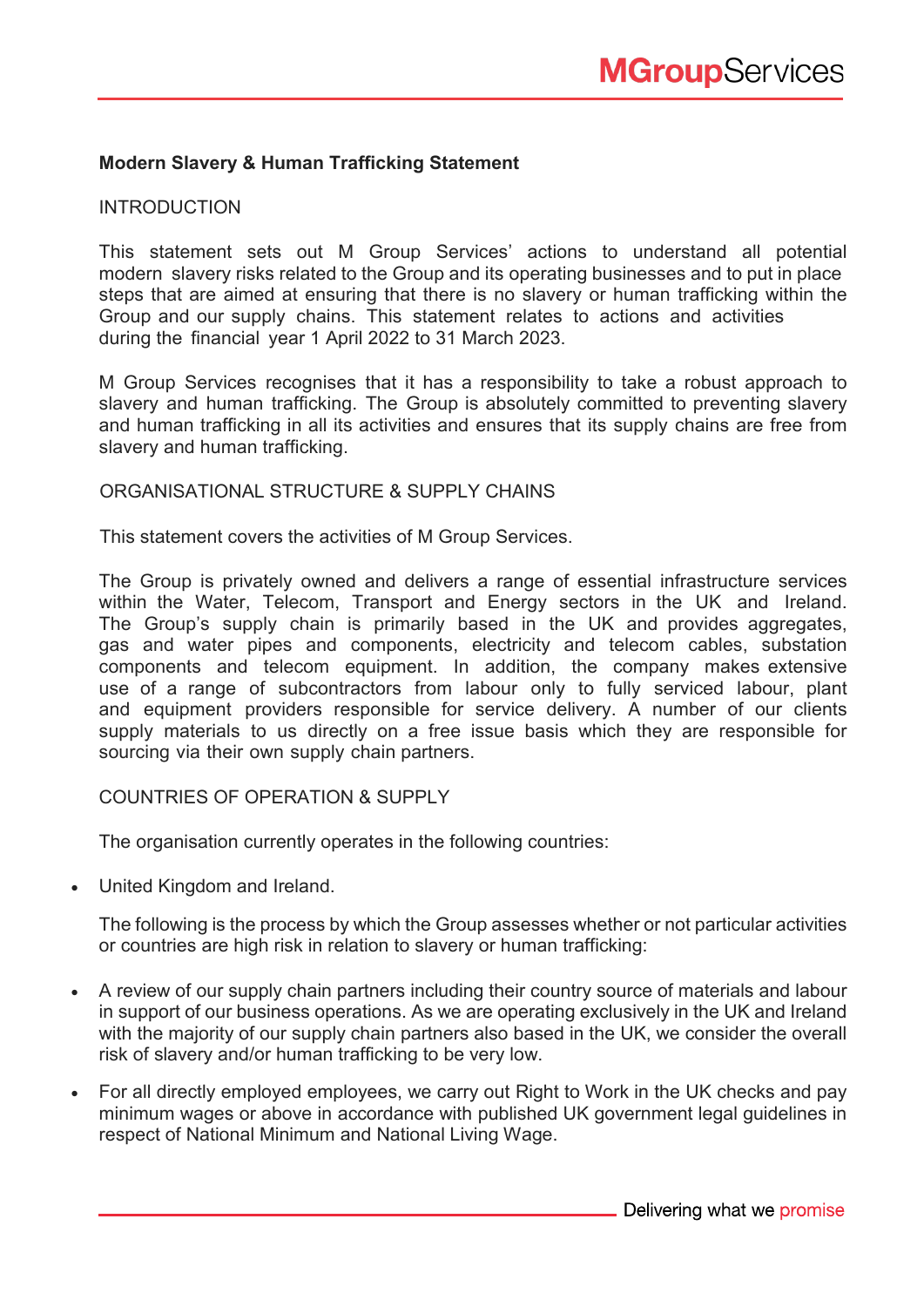# **Modern Slavery & Human Trafficking Statement**

### **INTRODUCTION**

This statement sets out M Group Services' actions to understand all potential modern slavery risks related to the Group and its operating businesses and to put in place steps that are aimed at ensuring that there is no slavery or human trafficking within the Group and our supply chains. This statement relates to actions and activities during the financial year 1 April 2022 to 31 March 2023.

M Group Services recognises that it has a responsibility to take a robust approach to slavery and human trafficking. The Group is absolutely committed to preventing slavery and human trafficking in all its activities and ensures that its supply chains are free from slavery and human trafficking.

# ORGANISATIONAL STRUCTURE & SUPPLY CHAINS

This statement covers the activities of M Group Services.

The Group is privately owned and delivers a range of essential infrastructure services within the Water, Telecom, Transport and Energy sectors in the UK and Ireland. The Group's supply chain is primarily based in the UK and provides aggregates, gas and water pipes and components, electricity and telecom cables, substation components and telecom equipment. In addition, the company makes extensive use of a range of subcontractors from labour only to fully serviced labour, plant and equipment providers responsible for service delivery. A number of our clients supply materials to us directly on a free issue basis which they are responsible for sourcing via their own supply chain partners.

### COUNTRIES OF OPERATION & SUPPLY

The organisation currently operates in the following countries:

• United Kingdom and Ireland.

The following is the process by which the Group assesses whether or not particular activities or countries are high risk in relation to slavery or human trafficking:

- A review of our supply chain partners including their country source of materials and labour in support of our business operations. As we are operating exclusively in the UK and Ireland with the majority of our supply chain partners also based in the UK, we consider the overall risk of slavery and/or human trafficking to be very low.
- For all directly employed employees, we carry out Right to Work in the UK checks and pay minimum wages or above in accordance with published UK government legal guidelines in respect of National Minimum and National Living Wage.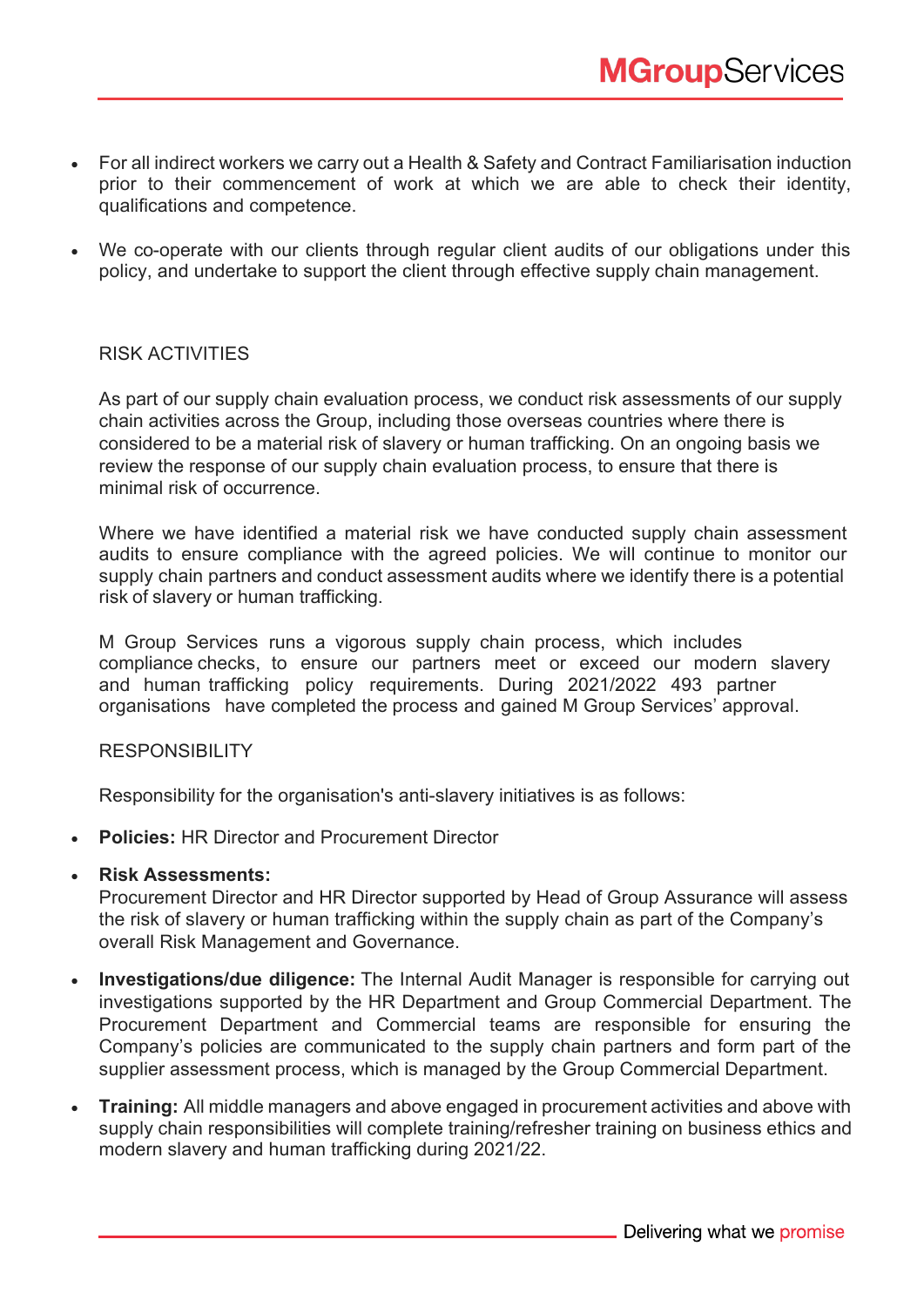- For all indirect workers we carry out a Health & Safety and Contract Familiarisation induction prior to their commencement of work at which we are able to check their identity, qualifications and competence.
- We co-operate with our clients through regular client audits of our obligations under this policy, and undertake to support the client through effective supply chain management.

### RISK ACTIVITIES

As part of our supply chain evaluation process, we conduct risk assessments of our supply chain activities across the Group, including those overseas countries where there is considered to be a material risk of slavery or human trafficking. On an ongoing basis we review the response of our supply chain evaluation process, to ensure that there is minimal risk of occurrence.

Where we have identified a material risk we have conducted supply chain assessment audits to ensure compliance with the agreed policies. We will continue to monitor our supply chain partners and conduct assessment audits where we identify there is a potential risk of slavery or human trafficking.

M Group Services runs a vigorous supply chain process, which includes compliance checks, to ensure our partners meet or exceed our modern slavery and human trafficking policy requirements. During 2021/2022 493 partner organisations have completed the process and gained M Group Services' approval.

#### RESPONSIBILITY

Responsibility for the organisation's anti-slavery initiatives is as follows:

• **Policies:** HR Director and Procurement Director

### • **Risk Assessments:**

Procurement Director and HR Director supported by Head of Group Assurance will assess the risk of slavery or human trafficking within the supply chain as part of the Company's overall Risk Management and Governance.

- **Investigations/due diligence:** The Internal Audit Manager is responsible for carrying out investigations supported by the HR Department and Group Commercial Department. The Procurement Department and Commercial teams are responsible for ensuring the Company's policies are communicated to the supply chain partners and form part of the supplier assessment process, which is managed by the Group Commercial Department.
- **Training:** All middle managers and above engaged in procurement activities and above with supply chain responsibilities will complete training/refresher training on business ethics and modern slavery and human trafficking during 2021/22.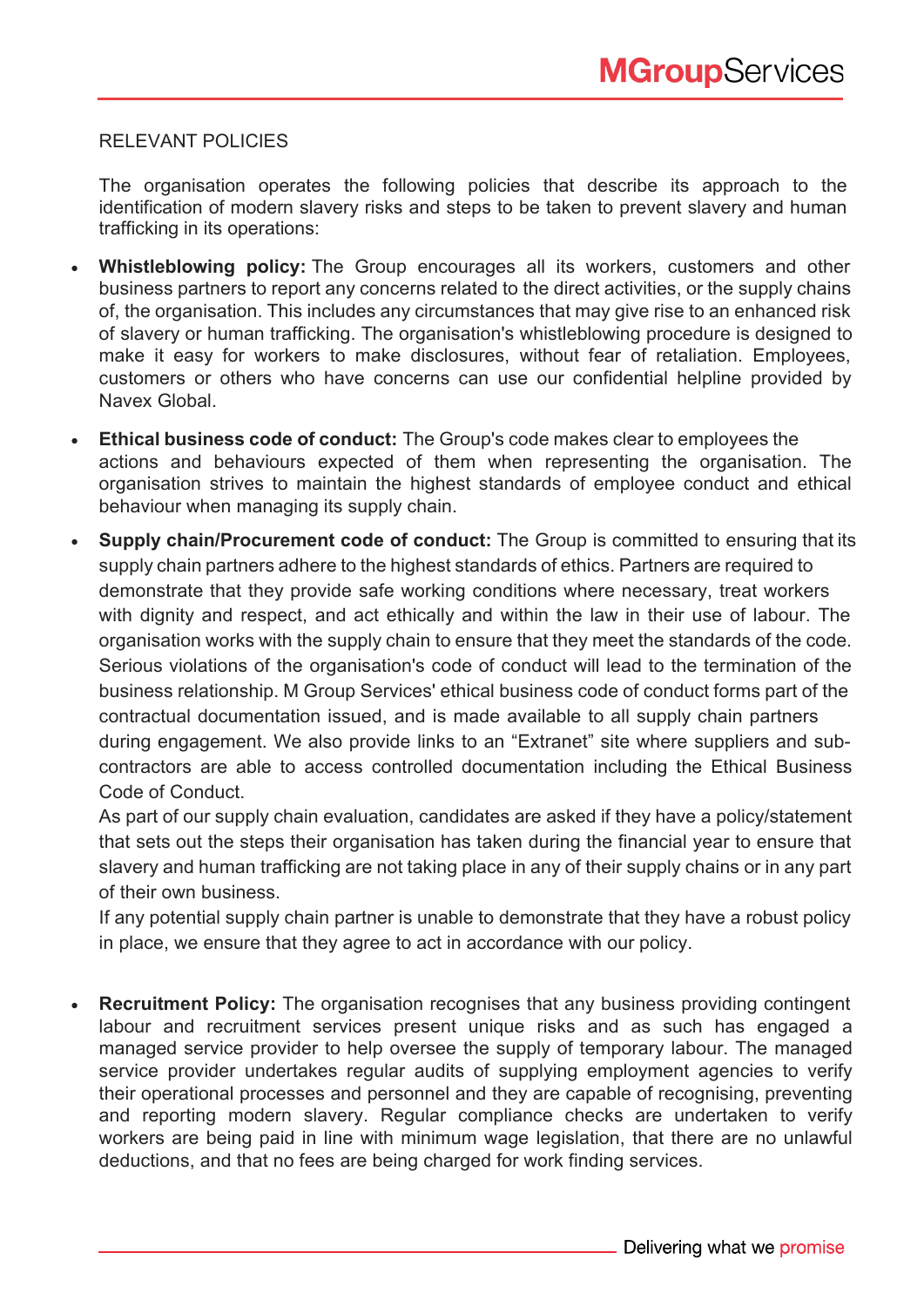# RELEVANT POLICIES

The organisation operates the following policies that describe its approach to the identification of modern slavery risks and steps to be taken to prevent slavery and human trafficking in its operations:

- **Whistleblowing policy:** The Group encourages all its workers, customers and other business partners to report any concerns related to the direct activities, or the supply chains of, the organisation. This includes any circumstances that may give rise to an enhanced risk of slavery or human trafficking. The organisation's whistleblowing procedure is designed to make it easy for workers to make disclosures, without fear of retaliation. Employees, customers or others who have concerns can use our confidential helpline provided by Navex Global.
- **Ethical business code of conduct:** The Group's code makes clear to employees the actions and behaviours expected of them when representing the organisation. The organisation strives to maintain the highest standards of employee conduct and ethical behaviour when managing its supply chain.
- **Supply chain/Procurement code of conduct:** The Group is committed to ensuring that its supply chain partners adhere to the highest standards of ethics. Partners are required to demonstrate that they provide safe working conditions where necessary, treat workers with dignity and respect, and act ethically and within the law in their use of labour. The organisation works with the supply chain to ensure that they meet the standards of the code. Serious violations of the organisation's code of conduct will lead to the termination of the business relationship. M Group Services' ethical business code of conduct forms part of the contractual documentation issued, and is made available to all supply chain partners during engagement. We also provide links to an "Extranet" site where suppliers and subcontractors are able to access controlled documentation including the Ethical Business Code of Conduct.

As part of our supply chain evaluation, candidates are asked if they have a policy/statement that sets out the steps their organisation has taken during the financial year to ensure that slavery and human trafficking are not taking place in any of their supply chains or in any part of their own business.

If any potential supply chain partner is unable to demonstrate that they have a robust policy in place, we ensure that they agree to act in accordance with our policy.

• **Recruitment Policy:** The organisation recognises that any business providing contingent labour and recruitment services present unique risks and as such has engaged a managed service provider to help oversee the supply of temporary labour. The managed service provider undertakes regular audits of supplying employment agencies to verify their operational processes and personnel and they are capable of recognising, preventing and reporting modern slavery. Regular compliance checks are undertaken to verify workers are being paid in line with minimum wage legislation, that there are no unlawful deductions, and that no fees are being charged for work finding services.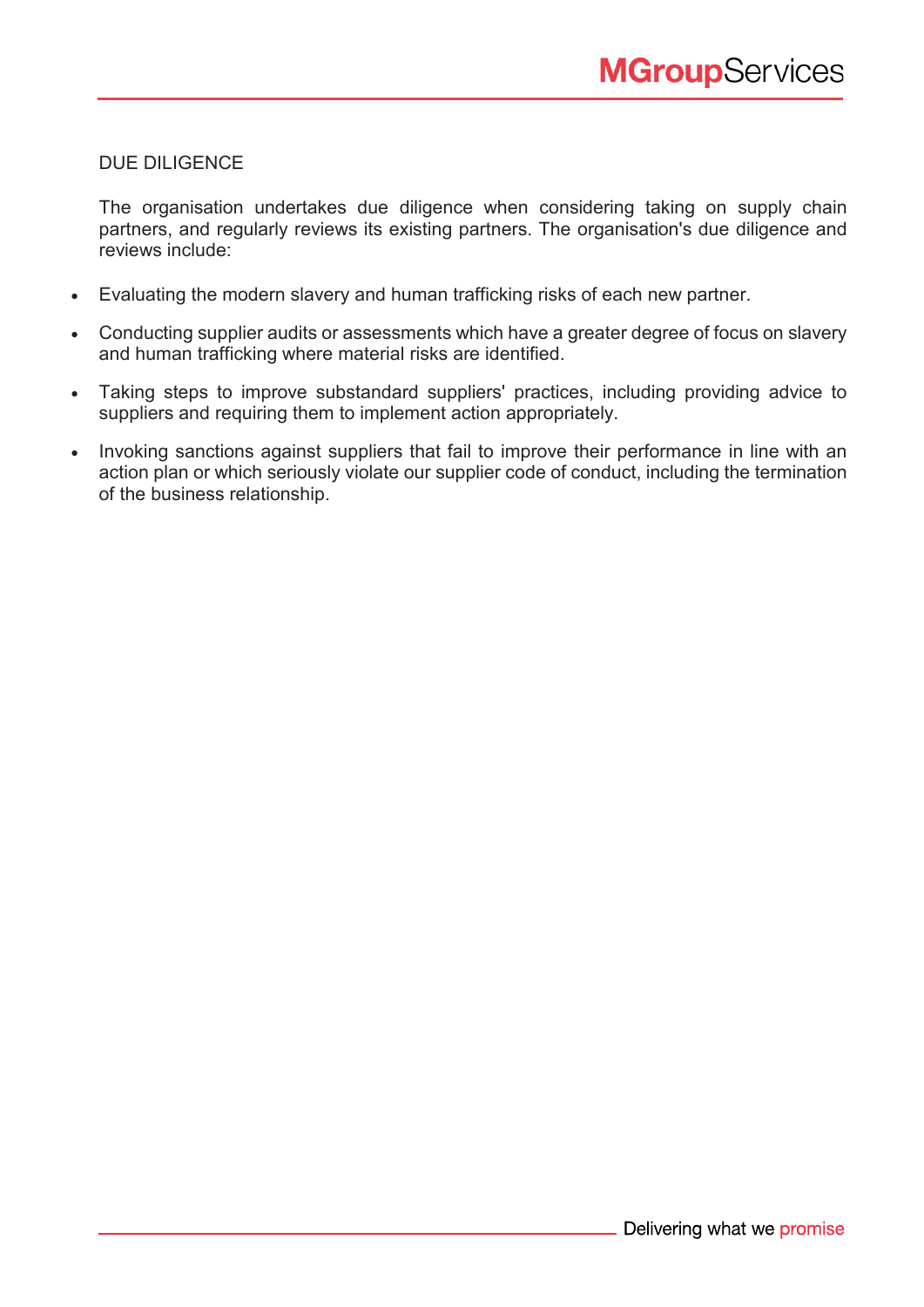# DUE DILIGENCE

The organisation undertakes due diligence when considering taking on supply chain partners, and regularly reviews its existing partners. The organisation's due diligence and reviews include:

- Evaluating the modern slavery and human trafficking risks of each new partner.
- Conducting supplier audits or assessments which have a greater degree of focus on slavery and human trafficking where material risks are identified.
- Taking steps to improve substandard suppliers' practices, including providing advice to suppliers and requiring them to implement action appropriately.
- Invoking sanctions against suppliers that fail to improve their performance in line with an action plan or which seriously violate our supplier code of conduct, including the termination of the business relationship.